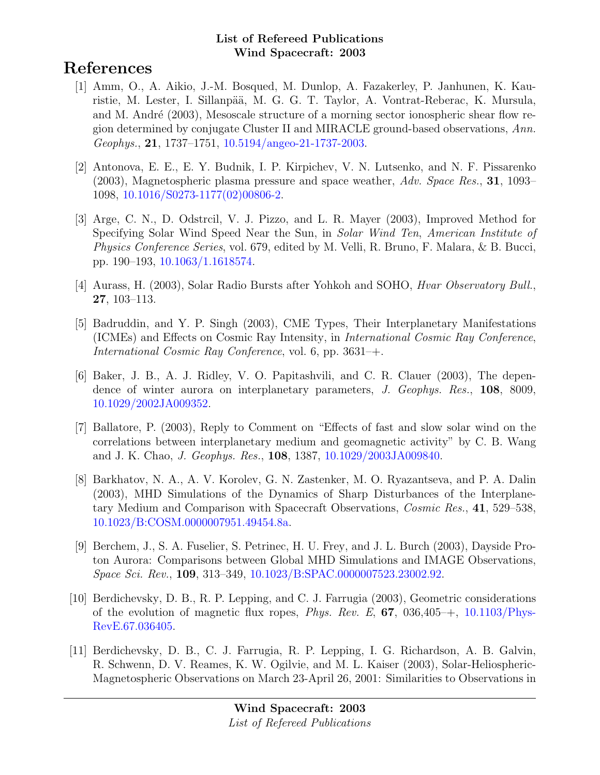# References

- [1] Amm, O., A. Aikio, J.-M. Bosqued, M. Dunlop, A. Fazakerley, P. Janhunen, K. Kauristie, M. Lester, I. Sillanpää, M. G. G. T. Taylor, A. Vontrat-Reberac, K. Mursula, and M. André (2003), Mesoscale structure of a morning sector ionospheric shear flow region determined by conjugate Cluster II and MIRACLE ground-based observations, Ann. Geophys., 21, 1737–1751, [10.5194/angeo-21-1737-2003.](http://dx.doi.org/10.5194/angeo-21-1737-2003)
- [2] Antonova, E. E., E. Y. Budnik, I. P. Kirpichev, V. N. Lutsenko, and N. F. Pissarenko  $(2003)$ , Magnetospheric plasma pressure and space weather,  $Adv. Space Res., 31, 1093-$ 1098, [10.1016/S0273-1177\(02\)00806-2.](http://dx.doi.org/10.1016/S0273-1177(02)00806-2)
- [3] Arge, C. N., D. Odstrcil, V. J. Pizzo, and L. R. Mayer (2003), Improved Method for Specifying Solar Wind Speed Near the Sun, in Solar Wind Ten, American Institute of Physics Conference Series, vol. 679, edited by M. Velli, R. Bruno, F. Malara, & B. Bucci, pp. 190–193, [10.1063/1.1618574.](http://dx.doi.org/10.1063/1.1618574)
- [4] Aurass, H. (2003), Solar Radio Bursts after Yohkoh and SOHO, Hvar Observatory Bull., 27, 103–113.
- [5] Badruddin, and Y. P. Singh (2003), CME Types, Their Interplanetary Manifestations (ICMEs) and Effects on Cosmic Ray Intensity, in International Cosmic Ray Conference, International Cosmic Ray Conference, vol. 6, pp. 3631–+.
- [6] Baker, J. B., A. J. Ridley, V. O. Papitashvili, and C. R. Clauer (2003), The dependence of winter aurora on interplanetary parameters, J. Geophys. Res., 108, 8009, [10.1029/2002JA009352.](http://dx.doi.org/10.1029/2002JA009352)
- [7] Ballatore, P. (2003), Reply to Comment on "Effects of fast and slow solar wind on the correlations between interplanetary medium and geomagnetic activity" by C. B. Wang and J. K. Chao, J. Geophys. Res., 108, 1387, [10.1029/2003JA009840.](http://dx.doi.org/10.1029/2003JA009840)
- [8] Barkhatov, N. A., A. V. Korolev, G. N. Zastenker, M. O. Ryazantseva, and P. A. Dalin (2003), MHD Simulations of the Dynamics of Sharp Disturbances of the Interplanetary Medium and Comparison with Spacecraft Observations, Cosmic Res., 41, 529–538, [10.1023/B:COSM.0000007951.49454.8a.](http://dx.doi.org/10.1023/B:COSM.0000007951.49454.8a)
- [9] Berchem, J., S. A. Fuselier, S. Petrinec, H. U. Frey, and J. L. Burch (2003), Dayside Proton Aurora: Comparisons between Global MHD Simulations and IMAGE Observations, Space Sci. Rev., 109, 313–349, [10.1023/B:SPAC.0000007523.23002.92.](http://dx.doi.org/10.1023/B:SPAC.0000007523.23002.92)
- [10] Berdichevsky, D. B., R. P. Lepping, and C. J. Farrugia (2003), Geometric considerations of the evolution of magnetic flux ropes, *Phys. Rev. E*,  $67$ ,  $036,405$ <sup>-+</sup>,  $10.1103$ /*Phys*-[RevE.67.036405.](http://dx.doi.org/10.1103/PhysRevE.67.036405)
- [11] Berdichevsky, D. B., C. J. Farrugia, R. P. Lepping, I. G. Richardson, A. B. Galvin, R. Schwenn, D. V. Reames, K. W. Ogilvie, and M. L. Kaiser (2003), Solar-Heliospheric-Magnetospheric Observations on March 23-April 26, 2001: Similarities to Observations in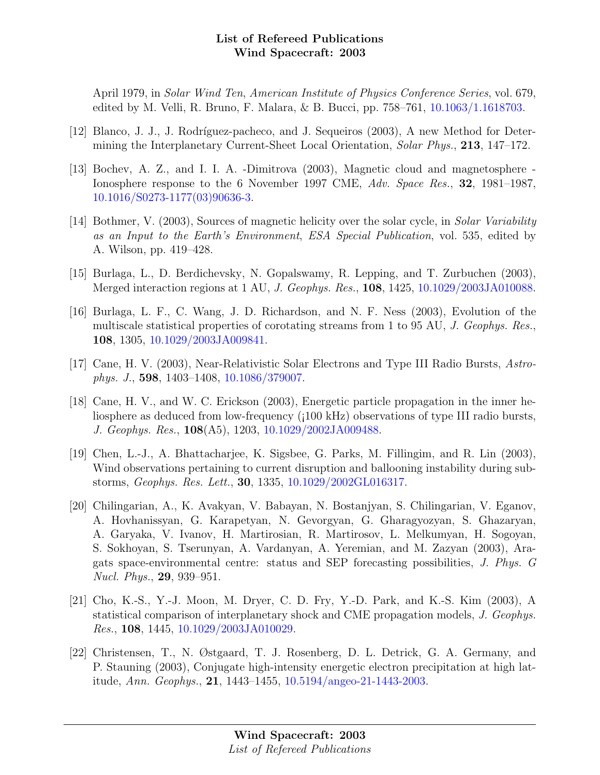April 1979, in Solar Wind Ten, American Institute of Physics Conference Series, vol. 679, edited by M. Velli, R. Bruno, F. Malara, & B. Bucci, pp. 758–761, [10.1063/1.1618703.](http://dx.doi.org/10.1063/1.1618703)

- [12] Blanco, J. J., J. Rodríguez-pacheco, and J. Sequeiros (2003), A new Method for Determining the Interplanetary Current-Sheet Local Orientation, Solar Phys., 213, 147–172.
- [13] Bochev, A. Z., and I. I. A. -Dimitrova (2003), Magnetic cloud and magnetosphere Ionosphere response to the 6 November 1997 CME, Adv. Space Res., 32, 1981–1987, [10.1016/S0273-1177\(03\)90636-3.](http://dx.doi.org/10.1016/S0273-1177(03)90636-3)
- [14] Bothmer, V. (2003), Sources of magnetic helicity over the solar cycle, in Solar Variability as an Input to the Earth's Environment, ESA Special Publication, vol. 535, edited by A. Wilson, pp. 419–428.
- [15] Burlaga, L., D. Berdichevsky, N. Gopalswamy, R. Lepping, and T. Zurbuchen (2003), Merged interaction regions at 1 AU, J. Geophys. Res., 108, 1425, [10.1029/2003JA010088.](http://dx.doi.org/10.1029/2003JA010088)
- [16] Burlaga, L. F., C. Wang, J. D. Richardson, and N. F. Ness (2003), Evolution of the multiscale statistical properties of corotating streams from 1 to 95 AU, J. Geophys. Res., 108, 1305, [10.1029/2003JA009841.](http://dx.doi.org/10.1029/2003JA009841)
- [17] Cane, H. V. (2003), Near-Relativistic Solar Electrons and Type III Radio Bursts, Astrophys. J., 598, 1403–1408, [10.1086/379007.](http://dx.doi.org/10.1086/379007)
- [18] Cane, H. V., and W. C. Erickson (2003), Energetic particle propagation in the inner heliosphere as deduced from low-frequency (¡100 kHz) observations of type III radio bursts, J. Geophys. Res., 108(A5), 1203, [10.1029/2002JA009488.](http://dx.doi.org/10.1029/2002JA009488)
- [19] Chen, L.-J., A. Bhattacharjee, K. Sigsbee, G. Parks, M. Fillingim, and R. Lin (2003), Wind observations pertaining to current disruption and ballooning instability during substorms, Geophys. Res. Lett., 30, 1335, [10.1029/2002GL016317.](http://dx.doi.org/10.1029/2002GL016317)
- [20] Chilingarian, A., K. Avakyan, V. Babayan, N. Bostanjyan, S. Chilingarian, V. Eganov, A. Hovhanissyan, G. Karapetyan, N. Gevorgyan, G. Gharagyozyan, S. Ghazaryan, A. Garyaka, V. Ivanov, H. Martirosian, R. Martirosov, L. Melkumyan, H. Sogoyan, S. Sokhoyan, S. Tserunyan, A. Vardanyan, A. Yeremian, and M. Zazyan (2003), Aragats space-environmental centre: status and SEP forecasting possibilities, J. Phys. G Nucl. Phys., 29, 939–951.
- [21] Cho, K.-S., Y.-J. Moon, M. Dryer, C. D. Fry, Y.-D. Park, and K.-S. Kim (2003), A statistical comparison of interplanetary shock and CME propagation models, J. Geophys. Res., 108, 1445, [10.1029/2003JA010029.](http://dx.doi.org/10.1029/2003JA010029)
- [22] Christensen, T., N. Østgaard, T. J. Rosenberg, D. L. Detrick, G. A. Germany, and P. Stauning (2003), Conjugate high-intensity energetic electron precipitation at high latitude, Ann. Geophys., 21, 1443–1455, [10.5194/angeo-21-1443-2003.](http://dx.doi.org/10.5194/angeo-21-1443-2003)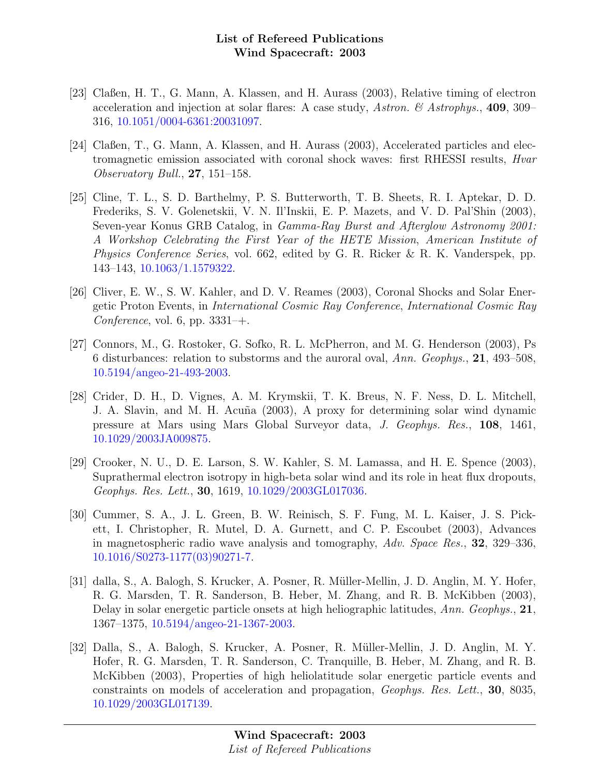- [23] Claßen, H. T., G. Mann, A. Klassen, and H. Aurass (2003), Relative timing of electron acceleration and injection at solar flares: A case study, Astron. & Astrophys., 409, 309– 316, [10.1051/0004-6361:20031097.](http://dx.doi.org/10.1051/0004-6361:20031097)
- [24] Claßen, T., G. Mann, A. Klassen, and H. Aurass (2003), Accelerated particles and electromagnetic emission associated with coronal shock waves: first RHESSI results, Hvar Observatory Bull., 27, 151–158.
- [25] Cline, T. L., S. D. Barthelmy, P. S. Butterworth, T. B. Sheets, R. I. Aptekar, D. D. Frederiks, S. V. Golenetskii, V. N. Il'Inskii, E. P. Mazets, and V. D. Pal'Shin (2003), Seven-year Konus GRB Catalog, in Gamma-Ray Burst and Afterglow Astronomy 2001: A Workshop Celebrating the First Year of the HETE Mission, American Institute of Physics Conference Series, vol. 662, edited by G. R. Ricker & R. K. Vanderspek, pp. 143–143, [10.1063/1.1579322.](http://dx.doi.org/10.1063/1.1579322)
- [26] Cliver, E. W., S. W. Kahler, and D. V. Reames (2003), Coronal Shocks and Solar Energetic Proton Events, in International Cosmic Ray Conference, International Cosmic Ray Conference, vol. 6, pp.  $3331-+$ .
- [27] Connors, M., G. Rostoker, G. Sofko, R. L. McPherron, and M. G. Henderson (2003), Ps 6 disturbances: relation to substorms and the auroral oval, Ann. Geophys., 21, 493–508, [10.5194/angeo-21-493-2003.](http://dx.doi.org/10.5194/angeo-21-493-2003)
- [28] Crider, D. H., D. Vignes, A. M. Krymskii, T. K. Breus, N. F. Ness, D. L. Mitchell, J. A. Slavin, and M. H. Acuña (2003), A proxy for determining solar wind dynamic pressure at Mars using Mars Global Surveyor data, J. Geophys. Res., 108, 1461, [10.1029/2003JA009875.](http://dx.doi.org/10.1029/2003JA009875)
- [29] Crooker, N. U., D. E. Larson, S. W. Kahler, S. M. Lamassa, and H. E. Spence (2003), Suprathermal electron isotropy in high-beta solar wind and its role in heat flux dropouts, Geophys. Res. Lett., 30, 1619, [10.1029/2003GL017036.](http://dx.doi.org/10.1029/2003GL017036)
- [30] Cummer, S. A., J. L. Green, B. W. Reinisch, S. F. Fung, M. L. Kaiser, J. S. Pickett, I. Christopher, R. Mutel, D. A. Gurnett, and C. P. Escoubet (2003), Advances in magnetospheric radio wave analysis and tomography, Adv. Space Res., 32, 329–336, [10.1016/S0273-1177\(03\)90271-7.](http://dx.doi.org/10.1016/S0273-1177(03)90271-7)
- [31] dalla, S., A. Balogh, S. Krucker, A. Posner, R. Müller-Mellin, J. D. Anglin, M. Y. Hofer, R. G. Marsden, T. R. Sanderson, B. Heber, M. Zhang, and R. B. McKibben (2003), Delay in solar energetic particle onsets at high heliographic latitudes, Ann. Geophys., 21, 1367–1375, [10.5194/angeo-21-1367-2003.](http://dx.doi.org/10.5194/angeo-21-1367-2003)
- [32] Dalla, S., A. Balogh, S. Krucker, A. Posner, R. M¨uller-Mellin, J. D. Anglin, M. Y. Hofer, R. G. Marsden, T. R. Sanderson, C. Tranquille, B. Heber, M. Zhang, and R. B. McKibben (2003), Properties of high heliolatitude solar energetic particle events and constraints on models of acceleration and propagation, Geophys. Res. Lett., 30, 8035, [10.1029/2003GL017139.](http://dx.doi.org/10.1029/2003GL017139)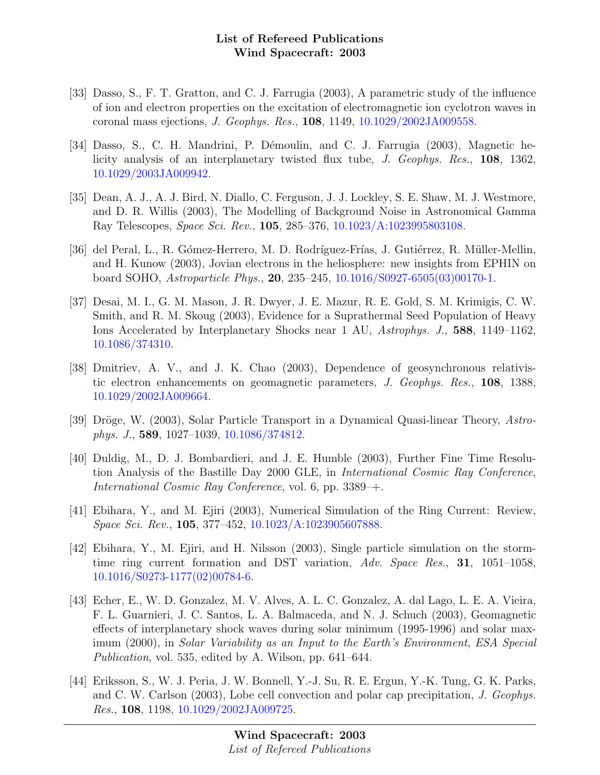- [33] Dasso, S., F. T. Gratton, and C. J. Farrugia (2003), A parametric study of the influence of ion and electron properties on the excitation of electromagnetic ion cyclotron waves in coronal mass ejections, J. Geophys. Res., 108, 1149, [10.1029/2002JA009558.](http://dx.doi.org/10.1029/2002JA009558)
- [34] Dasso, S., C. H. Mandrini, P. Démoulin, and C. J. Farrugia (2003), Magnetic helicity analysis of an interplanetary twisted flux tube, J. Geophys. Res., 108, 1362, [10.1029/2003JA009942.](http://dx.doi.org/10.1029/2003JA009942)
- [35] Dean, A. J., A. J. Bird, N. Diallo, C. Ferguson, J. J. Lockley, S. E. Shaw, M. J. Westmore, and D. R. Willis (2003), The Modelling of Background Noise in Astronomical Gamma Ray Telescopes, Space Sci. Rev., 105, 285–376, [10.1023/A:1023995803108.](http://dx.doi.org/10.1023/A:1023995803108)
- [36] del Peral, L., R. Gómez-Herrero, M. D. Rodríguez-Frías, J. Gutiérrez, R. Müller-Mellin, and H. Kunow (2003), Jovian electrons in the heliosphere: new insights from EPHIN on board SOHO, Astroparticle Phys., 20, 235–245, [10.1016/S0927-6505\(03\)00170-1.](http://dx.doi.org/10.1016/S0927-6505(03)00170-1)
- [37] Desai, M. I., G. M. Mason, J. R. Dwyer, J. E. Mazur, R. E. Gold, S. M. Krimigis, C. W. Smith, and R. M. Skoug (2003), Evidence for a Suprathermal Seed Population of Heavy Ions Accelerated by Interplanetary Shocks near 1 AU, Astrophys. J., 588, 1149–1162, [10.1086/374310.](http://dx.doi.org/10.1086/374310)
- [38] Dmitriev, A. V., and J. K. Chao (2003), Dependence of geosynchronous relativistic electron enhancements on geomagnetic parameters, J. Geophys. Res., 108, 1388, [10.1029/2002JA009664.](http://dx.doi.org/10.1029/2002JA009664)
- [39] Dröge, W. (2003), Solar Particle Transport in a Dynamical Quasi-linear Theory, Astrophys. J., 589, 1027–1039, [10.1086/374812.](http://dx.doi.org/10.1086/374812)
- [40] Duldig, M., D. J. Bombardieri, and J. E. Humble (2003), Further Fine Time Resolution Analysis of the Bastille Day 2000 GLE, in International Cosmic Ray Conference, International Cosmic Ray Conference, vol. 6, pp. 3389–+.
- [41] Ebihara, Y., and M. Ejiri (2003), Numerical Simulation of the Ring Current: Review, Space Sci. Rev., 105, 377–452, [10.1023/A:1023905607888.](http://dx.doi.org/10.1023/A:1023905607888)
- [42] Ebihara, Y., M. Ejiri, and H. Nilsson (2003), Single particle simulation on the stormtime ring current formation and DST variation, Adv. Space Res., 31, 1051–1058, [10.1016/S0273-1177\(02\)00784-6.](http://dx.doi.org/10.1016/S0273-1177(02)00784-6)
- [43] Echer, E., W. D. Gonzalez, M. V. Alves, A. L. C. Gonzalez, A. dal Lago, L. E. A. Vieira, F. L. Guarnieri, J. C. Santos, L. A. Balmaceda, and N. J. Schuch (2003), Geomagnetic effects of interplanetary shock waves during solar minimum (1995-1996) and solar maximum (2000), in Solar Variability as an Input to the Earth's Environment, ESA Special Publication, vol. 535, edited by A. Wilson, pp. 641–644.
- [44] Eriksson, S., W. J. Peria, J. W. Bonnell, Y.-J. Su, R. E. Ergun, Y.-K. Tung, G. K. Parks, and C. W. Carlson (2003), Lobe cell convection and polar cap precipitation, J. Geophys. Res., 108, 1198, [10.1029/2002JA009725.](http://dx.doi.org/10.1029/2002JA009725)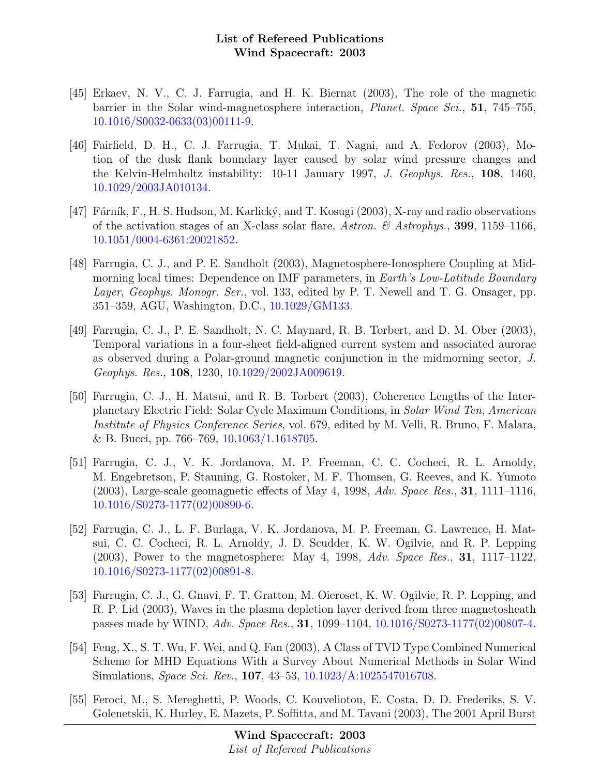- [45] Erkaev, N. V., C. J. Farrugia, and H. K. Biernat (2003), The role of the magnetic barrier in the Solar wind-magnetosphere interaction, *Planet. Space Sci.*, **51**, 745–755, [10.1016/S0032-0633\(03\)00111-9.](http://dx.doi.org/10.1016/S0032-0633(03)00111-9)
- [46] Fairfield, D. H., C. J. Farrugia, T. Mukai, T. Nagai, and A. Fedorov (2003), Motion of the dusk flank boundary layer caused by solar wind pressure changes and the Kelvin-Helmholtz instability: 10-11 January 1997, J. Geophys. Res., 108, 1460, [10.1029/2003JA010134.](http://dx.doi.org/10.1029/2003JA010134)
- [47] Fárník, F., H. S. Hudson, M. Karlický, and T. Kosugi (2003), X-ray and radio observations of the activation stages of an X-class solar flare, Astron. & Astrophys., 399, 1159–1166, [10.1051/0004-6361:20021852.](http://dx.doi.org/10.1051/0004-6361:20021852)
- [48] Farrugia, C. J., and P. E. Sandholt (2003), Magnetosphere-Ionosphere Coupling at Midmorning local times: Dependence on IMF parameters, in *Earth's Low-Latitude Boundary* Layer, Geophys. Monogr. Ser., vol. 133, edited by P. T. Newell and T. G. Onsager, pp. 351–359, AGU, Washington, D.C., [10.1029/GM133.](http://dx.doi.org/10.1029/GM133)
- [49] Farrugia, C. J., P. E. Sandholt, N. C. Maynard, R. B. Torbert, and D. M. Ober (2003), Temporal variations in a four-sheet field-aligned current system and associated aurorae as observed during a Polar-ground magnetic conjunction in the midmorning sector, J. Geophys. Res., 108, 1230, [10.1029/2002JA009619.](http://dx.doi.org/10.1029/2002JA009619)
- [50] Farrugia, C. J., H. Matsui, and R. B. Torbert (2003), Coherence Lengths of the Interplanetary Electric Field: Solar Cycle Maximum Conditions, in Solar Wind Ten, American Institute of Physics Conference Series, vol. 679, edited by M. Velli, R. Bruno, F. Malara, & B. Bucci, pp. 766–769, [10.1063/1.1618705.](http://dx.doi.org/10.1063/1.1618705)
- [51] Farrugia, C. J., V. K. Jordanova, M. P. Freeman, C. C. Cocheci, R. L. Arnoldy, M. Engebretson, P. Stauning, G. Rostoker, M. F. Thomsen, G. Reeves, and K. Yumoto  $(2003)$ , Large-scale geomagnetic effects of May 4, 1998, Adv. Space Res., 31, 1111–1116, [10.1016/S0273-1177\(02\)00890-6.](http://dx.doi.org/10.1016/S0273-1177(02)00890-6)
- [52] Farrugia, C. J., L. F. Burlaga, V. K. Jordanova, M. P. Freeman, G. Lawrence, H. Matsui, C. C. Cocheci, R. L. Arnoldy, J. D. Scudder, K. W. Ogilvie, and R. P. Lepping (2003), Power to the magnetosphere: May 4, 1998, Adv. Space Res., 31, 1117–1122, [10.1016/S0273-1177\(02\)00891-8.](http://dx.doi.org/10.1016/S0273-1177(02)00891-8)
- [53] Farrugia, C. J., G. Gnavi, F. T. Gratton, M. Oieroset, K. W. Ogilvie, R. P. Lepping, and R. P. Lid (2003), Waves in the plasma depletion layer derived from three magnetosheath passes made by WIND, Adv. Space Res., 31, 1099–1104, [10.1016/S0273-1177\(02\)00807-4.](http://dx.doi.org/10.1016/S0273-1177(02)00807-4)
- [54] Feng, X., S. T. Wu, F. Wei, and Q. Fan (2003), A Class of TVD Type Combined Numerical Scheme for MHD Equations With a Survey About Numerical Methods in Solar Wind Simulations, Space Sci. Rev., 107, 43–53, [10.1023/A:1025547016708.](http://dx.doi.org/10.1023/A:1025547016708)
- [55] Feroci, M., S. Mereghetti, P. Woods, C. Kouveliotou, E. Costa, D. D. Frederiks, S. V. Golenetskii, K. Hurley, E. Mazets, P. Soffitta, and M. Tavani (2003), The 2001 April Burst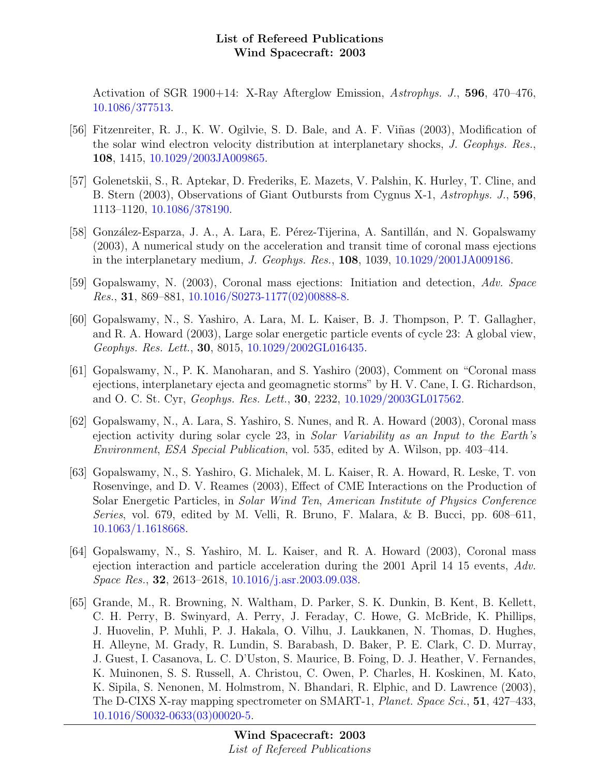Activation of SGR 1900+14: X-Ray Afterglow Emission, Astrophys. J., 596, 470–476, [10.1086/377513.](http://dx.doi.org/10.1086/377513)

- [56] Fitzenreiter, R. J., K. W. Ogilvie, S. D. Bale, and A. F. Viñas (2003), Modification of the solar wind electron velocity distribution at interplanetary shocks, J. Geophys. Res., 108, 1415, [10.1029/2003JA009865.](http://dx.doi.org/10.1029/2003JA009865)
- [57] Golenetskii, S., R. Aptekar, D. Frederiks, E. Mazets, V. Palshin, K. Hurley, T. Cline, and B. Stern (2003), Observations of Giant Outbursts from Cygnus X-1, Astrophys. J., 596, 1113–1120, [10.1086/378190.](http://dx.doi.org/10.1086/378190)
- [58] González-Esparza, J. A., A. Lara, E. Pérez-Tijerina, A. Santillán, and N. Gopalswamy (2003), A numerical study on the acceleration and transit time of coronal mass ejections in the interplanetary medium, J. Geophys. Res., 108, 1039, [10.1029/2001JA009186.](http://dx.doi.org/10.1029/2001JA009186)
- [59] Gopalswamy, N. (2003), Coronal mass ejections: Initiation and detection, Adv. Space *Res.*, **31**, 869–881, [10.1016/S0273-1177\(02\)00888-8.](http://dx.doi.org/10.1016/S0273-1177(02)00888-8)
- [60] Gopalswamy, N., S. Yashiro, A. Lara, M. L. Kaiser, B. J. Thompson, P. T. Gallagher, and R. A. Howard (2003), Large solar energetic particle events of cycle 23: A global view, Geophys. Res. Lett., 30, 8015, [10.1029/2002GL016435.](http://dx.doi.org/10.1029/2002GL016435)
- [61] Gopalswamy, N., P. K. Manoharan, and S. Yashiro (2003), Comment on "Coronal mass ejections, interplanetary ejecta and geomagnetic storms" by H. V. Cane, I. G. Richardson, and O. C. St. Cyr, Geophys. Res. Lett., 30, 2232, [10.1029/2003GL017562.](http://dx.doi.org/10.1029/2003GL017562)
- [62] Gopalswamy, N., A. Lara, S. Yashiro, S. Nunes, and R. A. Howard (2003), Coronal mass ejection activity during solar cycle 23, in Solar Variability as an Input to the Earth's Environment, ESA Special Publication, vol. 535, edited by A. Wilson, pp. 403–414.
- [63] Gopalswamy, N., S. Yashiro, G. Michalek, M. L. Kaiser, R. A. Howard, R. Leske, T. von Rosenvinge, and D. V. Reames (2003), Effect of CME Interactions on the Production of Solar Energetic Particles, in Solar Wind Ten, American Institute of Physics Conference Series, vol. 679, edited by M. Velli, R. Bruno, F. Malara, & B. Bucci, pp. 608–611, [10.1063/1.1618668.](http://dx.doi.org/10.1063/1.1618668)
- [64] Gopalswamy, N., S. Yashiro, M. L. Kaiser, and R. A. Howard (2003), Coronal mass ejection interaction and particle acceleration during the 2001 April 14 15 events, Adv. Space Res., 32, 2613–2618, [10.1016/j.asr.2003.09.038.](http://dx.doi.org/10.1016/j.asr.2003.09.038)
- [65] Grande, M., R. Browning, N. Waltham, D. Parker, S. K. Dunkin, B. Kent, B. Kellett, C. H. Perry, B. Swinyard, A. Perry, J. Feraday, C. Howe, G. McBride, K. Phillips, J. Huovelin, P. Muhli, P. J. Hakala, O. Vilhu, J. Laukkanen, N. Thomas, D. Hughes, H. Alleyne, M. Grady, R. Lundin, S. Barabash, D. Baker, P. E. Clark, C. D. Murray, J. Guest, I. Casanova, L. C. D'Uston, S. Maurice, B. Foing, D. J. Heather, V. Fernandes, K. Muinonen, S. S. Russell, A. Christou, C. Owen, P. Charles, H. Koskinen, M. Kato, K. Sipila, S. Nenonen, M. Holmstrom, N. Bhandari, R. Elphic, and D. Lawrence (2003), The D-CIXS X-ray mapping spectrometer on SMART-1, Planet. Space Sci., 51, 427–433, [10.1016/S0032-0633\(03\)00020-5.](http://dx.doi.org/10.1016/S0032-0633(03)00020-5)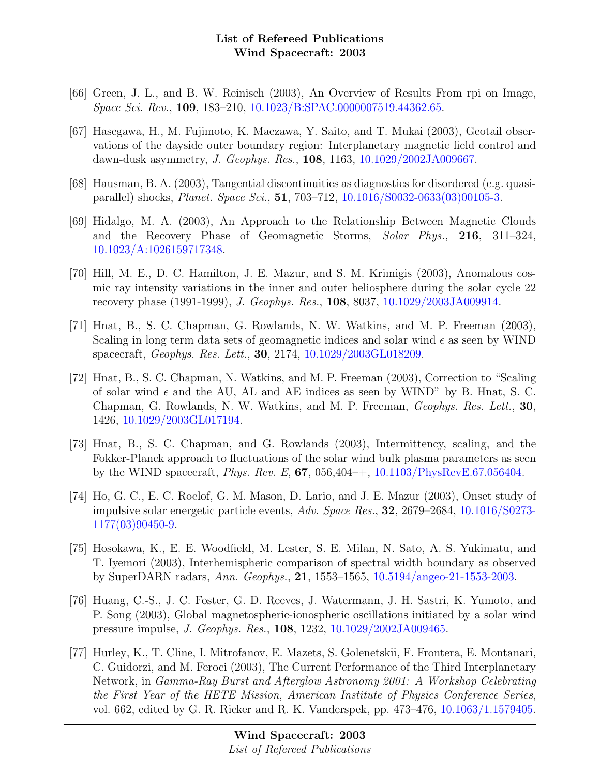- [66] Green, J. L., and B. W. Reinisch (2003), An Overview of Results From rpi on Image, Space Sci. Rev., 109, 183–210, [10.1023/B:SPAC.0000007519.44362.65.](http://dx.doi.org/10.1023/B:SPAC.0000007519.44362.65)
- [67] Hasegawa, H., M. Fujimoto, K. Maezawa, Y. Saito, and T. Mukai (2003), Geotail observations of the dayside outer boundary region: Interplanetary magnetic field control and dawn-dusk asymmetry, J. Geophys. Res., 108, 1163, [10.1029/2002JA009667.](http://dx.doi.org/10.1029/2002JA009667)
- [68] Hausman, B. A. (2003), Tangential discontinuities as diagnostics for disordered (e.g. quasiparallel) shocks, Planet. Space Sci., 51, 703–712, [10.1016/S0032-0633\(03\)00105-3.](http://dx.doi.org/10.1016/S0032-0633(03)00105-3)
- [69] Hidalgo, M. A. (2003), An Approach to the Relationship Between Magnetic Clouds and the Recovery Phase of Geomagnetic Storms, Solar Phys., 216, 311–324, [10.1023/A:1026159717348.](http://dx.doi.org/10.1023/A:1026159717348)
- [70] Hill, M. E., D. C. Hamilton, J. E. Mazur, and S. M. Krimigis (2003), Anomalous cosmic ray intensity variations in the inner and outer heliosphere during the solar cycle 22 recovery phase (1991-1999), J. Geophys. Res., 108, 8037, [10.1029/2003JA009914.](http://dx.doi.org/10.1029/2003JA009914)
- [71] Hnat, B., S. C. Chapman, G. Rowlands, N. W. Watkins, and M. P. Freeman (2003), Scaling in long term data sets of geomagnetic indices and solar wind  $\epsilon$  as seen by WIND spacecraft, Geophys. Res. Lett., 30, 2174, [10.1029/2003GL018209.](http://dx.doi.org/10.1029/2003GL018209)
- [72] Hnat, B., S. C. Chapman, N. Watkins, and M. P. Freeman (2003), Correction to "Scaling of solar wind  $\epsilon$  and the AU, AL and AE indices as seen by WIND" by B. Hnat, S. C. Chapman, G. Rowlands, N. W. Watkins, and M. P. Freeman, Geophys. Res. Lett., 30, 1426, [10.1029/2003GL017194.](http://dx.doi.org/10.1029/2003GL017194)
- [73] Hnat, B., S. C. Chapman, and G. Rowlands (2003), Intermittency, scaling, and the Fokker-Planck approach to fluctuations of the solar wind bulk plasma parameters as seen by the WIND spacecraft, *Phys. Rev. E*, **67**, 056,404–+, [10.1103/PhysRevE.67.056404.](http://dx.doi.org/10.1103/PhysRevE.67.056404)
- [74] Ho, G. C., E. C. Roelof, G. M. Mason, D. Lario, and J. E. Mazur (2003), Onset study of impulsive solar energetic particle events, Adv. Space Res., 32, 2679–2684, [10.1016/S0273-](http://dx.doi.org/10.1016/S0273-1177(03)90450-9) [1177\(03\)90450-9.](http://dx.doi.org/10.1016/S0273-1177(03)90450-9)
- [75] Hosokawa, K., E. E. Woodfield, M. Lester, S. E. Milan, N. Sato, A. S. Yukimatu, and T. Iyemori (2003), Interhemispheric comparison of spectral width boundary as observed by SuperDARN radars, Ann. Geophys., 21, 1553–1565, [10.5194/angeo-21-1553-2003.](http://dx.doi.org/10.5194/angeo-21-1553-2003)
- [76] Huang, C.-S., J. C. Foster, G. D. Reeves, J. Watermann, J. H. Sastri, K. Yumoto, and P. Song (2003), Global magnetospheric-ionospheric oscillations initiated by a solar wind pressure impulse, J. Geophys. Res., 108, 1232, [10.1029/2002JA009465.](http://dx.doi.org/10.1029/2002JA009465)
- [77] Hurley, K., T. Cline, I. Mitrofanov, E. Mazets, S. Golenetskii, F. Frontera, E. Montanari, C. Guidorzi, and M. Feroci (2003), The Current Performance of the Third Interplanetary Network, in Gamma-Ray Burst and Afterglow Astronomy 2001: A Workshop Celebrating the First Year of the HETE Mission, American Institute of Physics Conference Series, vol. 662, edited by G. R. Ricker and R. K. Vanderspek, pp. 473–476, [10.1063/1.1579405.](http://dx.doi.org/10.1063/1.1579405)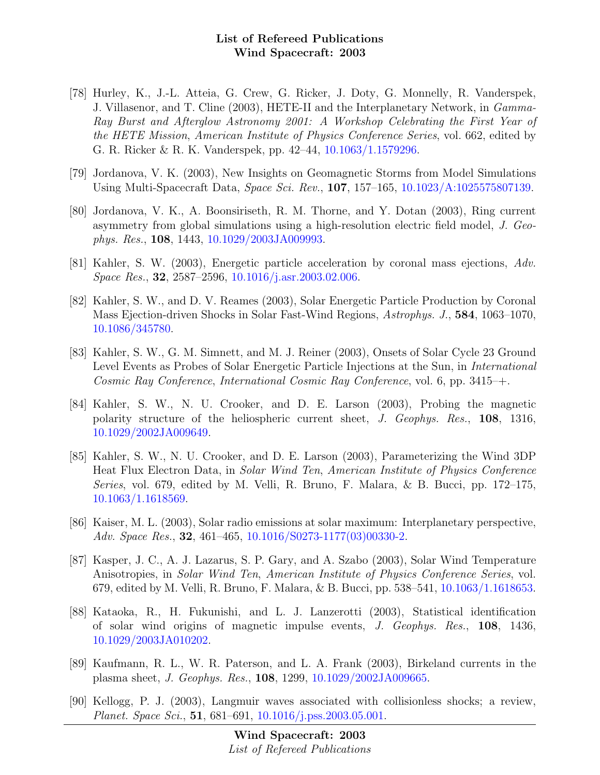- [78] Hurley, K., J.-L. Atteia, G. Crew, G. Ricker, J. Doty, G. Monnelly, R. Vanderspek, J. Villasenor, and T. Cline (2003), HETE-II and the Interplanetary Network, in Gamma-Ray Burst and Afterglow Astronomy 2001: A Workshop Celebrating the First Year of the HETE Mission, American Institute of Physics Conference Series, vol. 662, edited by G. R. Ricker & R. K. Vanderspek, pp. 42–44, [10.1063/1.1579296.](http://dx.doi.org/10.1063/1.1579296)
- [79] Jordanova, V. K. (2003), New Insights on Geomagnetic Storms from Model Simulations Using Multi-Spacecraft Data, Space Sci. Rev., 107, 157–165, [10.1023/A:1025575807139.](http://dx.doi.org/10.1023/A:1025575807139)
- [80] Jordanova, V. K., A. Boonsiriseth, R. M. Thorne, and Y. Dotan (2003), Ring current asymmetry from global simulations using a high-resolution electric field model, J. Geophys. Res., 108, 1443, [10.1029/2003JA009993.](http://dx.doi.org/10.1029/2003JA009993)
- [81] Kahler, S. W. (2003), Energetic particle acceleration by coronal mass ejections, Adv. Space Res., 32, 2587–2596, [10.1016/j.asr.2003.02.006.](http://dx.doi.org/10.1016/j.asr.2003.02.006)
- [82] Kahler, S. W., and D. V. Reames (2003), Solar Energetic Particle Production by Coronal Mass Ejection-driven Shocks in Solar Fast-Wind Regions, Astrophys. J., 584, 1063–1070, [10.1086/345780.](http://dx.doi.org/10.1086/345780)
- [83] Kahler, S. W., G. M. Simnett, and M. J. Reiner (2003), Onsets of Solar Cycle 23 Ground Level Events as Probes of Solar Energetic Particle Injections at the Sun, in International Cosmic Ray Conference, International Cosmic Ray Conference, vol. 6, pp. 3415–+.
- [84] Kahler, S. W., N. U. Crooker, and D. E. Larson (2003), Probing the magnetic polarity structure of the heliospheric current sheet, J. Geophys. Res., 108, 1316, [10.1029/2002JA009649.](http://dx.doi.org/10.1029/2002JA009649)
- [85] Kahler, S. W., N. U. Crooker, and D. E. Larson (2003), Parameterizing the Wind 3DP Heat Flux Electron Data, in Solar Wind Ten, American Institute of Physics Conference Series, vol. 679, edited by M. Velli, R. Bruno, F. Malara, & B. Bucci, pp. 172–175, [10.1063/1.1618569.](http://dx.doi.org/10.1063/1.1618569)
- [86] Kaiser, M. L. (2003), Solar radio emissions at solar maximum: Interplanetary perspective, Adv. Space Res., **32**, 461–465, [10.1016/S0273-1177\(03\)00330-2.](http://dx.doi.org/10.1016/S0273-1177(03)00330-2)
- [87] Kasper, J. C., A. J. Lazarus, S. P. Gary, and A. Szabo (2003), Solar Wind Temperature Anisotropies, in Solar Wind Ten, American Institute of Physics Conference Series, vol. 679, edited by M. Velli, R. Bruno, F. Malara, & B. Bucci, pp. 538–541, [10.1063/1.1618653.](http://dx.doi.org/10.1063/1.1618653)
- [88] Kataoka, R., H. Fukunishi, and L. J. Lanzerotti (2003), Statistical identification of solar wind origins of magnetic impulse events, J. Geophys. Res., 108, 1436, [10.1029/2003JA010202.](http://dx.doi.org/10.1029/2003JA010202)
- [89] Kaufmann, R. L., W. R. Paterson, and L. A. Frank (2003), Birkeland currents in the plasma sheet, J. Geophys. Res., 108, 1299, [10.1029/2002JA009665.](http://dx.doi.org/10.1029/2002JA009665)
- [90] Kellogg, P. J. (2003), Langmuir waves associated with collisionless shocks; a review, Planet. Space Sci., 51, 681–691, [10.1016/j.pss.2003.05.001.](http://dx.doi.org/10.1016/j.pss.2003.05.001)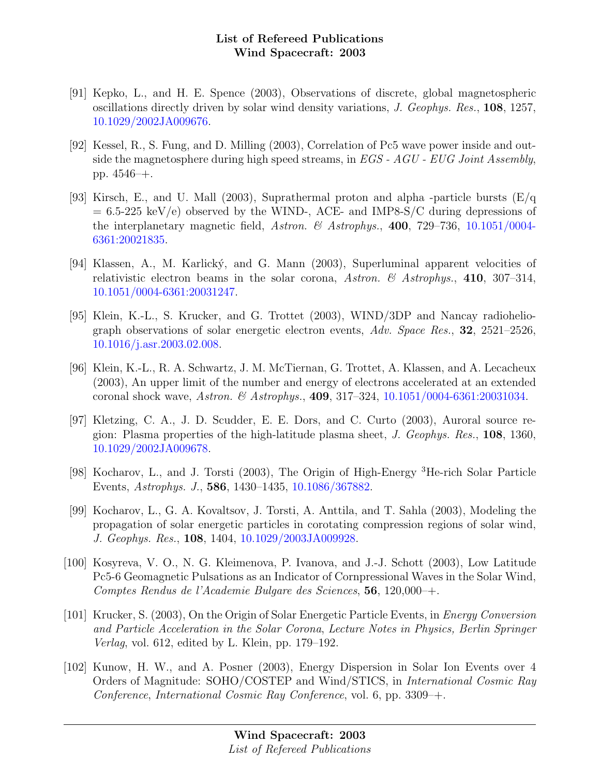- [91] Kepko, L., and H. E. Spence (2003), Observations of discrete, global magnetospheric oscillations directly driven by solar wind density variations, J. Geophys. Res., 108, 1257, [10.1029/2002JA009676.](http://dx.doi.org/10.1029/2002JA009676)
- [92] Kessel, R., S. Fung, and D. Milling (2003), Correlation of Pc5 wave power inside and outside the magnetosphere during high speed streams, in  $EGS$  -  $AGU$  -  $EUG$  Joint Assembly, pp. 4546–+.
- [93] Kirsch, E., and U. Mall (2003), Suprathermal proton and alpha -particle bursts  $(E/q)$  $= 6.5-225 \text{ keV/e}$  observed by the WIND-, ACE- and IMP8-S/C during depressions of the interplanetary magnetic field, Astron. & Astrophys., 400, 729-736, [10.1051/0004-](http://dx.doi.org/10.1051/0004-6361:20021835) [6361:20021835.](http://dx.doi.org/10.1051/0004-6361:20021835)
- [94] Klassen, A., M. Karlický, and G. Mann (2003), Superluminal apparent velocities of relativistic electron beams in the solar corona, Astron. & Astrophys., 410, 307-314, [10.1051/0004-6361:20031247.](http://dx.doi.org/10.1051/0004-6361:20031247)
- [95] Klein, K.-L., S. Krucker, and G. Trottet (2003), WIND/3DP and Nancay radioheliograph observations of solar energetic electron events, Adv. Space Res., 32, 2521–2526, [10.1016/j.asr.2003.02.008.](http://dx.doi.org/10.1016/j.asr.2003.02.008)
- [96] Klein, K.-L., R. A. Schwartz, J. M. McTiernan, G. Trottet, A. Klassen, and A. Lecacheux (2003), An upper limit of the number and energy of electrons accelerated at an extended coronal shock wave, Astron. & Astrophys., 409, 317–324, [10.1051/0004-6361:20031034.](http://dx.doi.org/10.1051/0004-6361:20031034)
- [97] Kletzing, C. A., J. D. Scudder, E. E. Dors, and C. Curto (2003), Auroral source region: Plasma properties of the high-latitude plasma sheet, J. Geophys. Res.,  $108$ , 1360, [10.1029/2002JA009678.](http://dx.doi.org/10.1029/2002JA009678)
- [98] Kocharov, L., and J. Torsti (2003), The Origin of High-Energy <sup>3</sup>He-rich Solar Particle Events, Astrophys. J., 586, 1430–1435, [10.1086/367882.](http://dx.doi.org/10.1086/367882)
- [99] Kocharov, L., G. A. Kovaltsov, J. Torsti, A. Anttila, and T. Sahla (2003), Modeling the propagation of solar energetic particles in corotating compression regions of solar wind, J. Geophys. Res., 108, 1404, [10.1029/2003JA009928.](http://dx.doi.org/10.1029/2003JA009928)
- [100] Kosyreva, V. O., N. G. Kleimenova, P. Ivanova, and J.-J. Schott (2003), Low Latitude Pc5-6 Geomagnetic Pulsations as an Indicator of Cornpressional Waves in the Solar Wind, Comptes Rendus de l'Academie Bulgare des Sciences, 56, 120,000–+.
- [101] Krucker, S. (2003), On the Origin of Solar Energetic Particle Events, in Energy Conversion and Particle Acceleration in the Solar Corona, Lecture Notes in Physics, Berlin Springer Verlag, vol. 612, edited by L. Klein, pp. 179–192.
- [102] Kunow, H. W., and A. Posner (2003), Energy Dispersion in Solar Ion Events over 4 Orders of Magnitude: SOHO/COSTEP and Wind/STICS, in International Cosmic Ray Conference, International Cosmic Ray Conference, vol. 6, pp. 3309–+.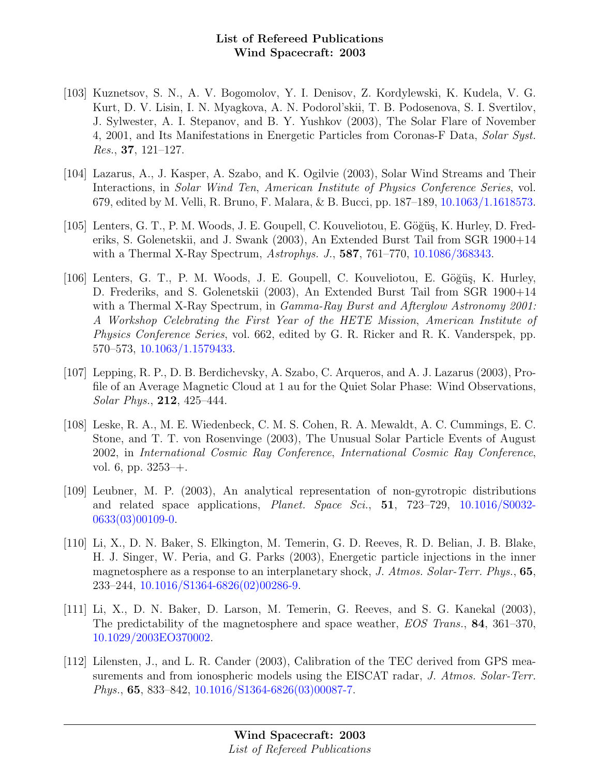- [103] Kuznetsov, S. N., A. V. Bogomolov, Y. I. Denisov, Z. Kordylewski, K. Kudela, V. G. Kurt, D. V. Lisin, I. N. Myagkova, A. N. Podorol'skii, T. B. Podosenova, S. I. Svertilov, J. Sylwester, A. I. Stepanov, and B. Y. Yushkov (2003), The Solar Flare of November 4, 2001, and Its Manifestations in Energetic Particles from Coronas-F Data, Solar Syst. Res., 37, 121–127.
- [104] Lazarus, A., J. Kasper, A. Szabo, and K. Ogilvie (2003), Solar Wind Streams and Their Interactions, in Solar Wind Ten, American Institute of Physics Conference Series, vol. 679, edited by M. Velli, R. Bruno, F. Malara, & B. Bucci, pp. 187–189, [10.1063/1.1618573.](http://dx.doi.org/10.1063/1.1618573)
- [105] Lenters, G. T., P. M. Woods, J. E. Goupell, C. Kouveliotou, E. Göğüş, K. Hurley, D. Frederiks, S. Golenetskii, and J. Swank (2003), An Extended Burst Tail from SGR 1900+14 with a Thermal X-Ray Spectrum, Astrophys. J., **587**, 761–770, [10.1086/368343.](http://dx.doi.org/10.1086/368343)
- [106] Lenters, G. T., P. M. Woods, J. E. Goupell, C. Kouveliotou, E. Göğüs, K. Hurley, D. Frederiks, and S. Golenetskii (2003), An Extended Burst Tail from SGR 1900+14 with a Thermal X-Ray Spectrum, in *Gamma-Ray Burst and Afterglow Astronomy 2001*: A Workshop Celebrating the First Year of the HETE Mission, American Institute of Physics Conference Series, vol. 662, edited by G. R. Ricker and R. K. Vanderspek, pp. 570–573, [10.1063/1.1579433.](http://dx.doi.org/10.1063/1.1579433)
- [107] Lepping, R. P., D. B. Berdichevsky, A. Szabo, C. Arqueros, and A. J. Lazarus (2003), Profile of an Average Magnetic Cloud at 1 au for the Quiet Solar Phase: Wind Observations, Solar Phys., 212, 425–444.
- [108] Leske, R. A., M. E. Wiedenbeck, C. M. S. Cohen, R. A. Mewaldt, A. C. Cummings, E. C. Stone, and T. T. von Rosenvinge (2003), The Unusual Solar Particle Events of August 2002, in International Cosmic Ray Conference, International Cosmic Ray Conference, vol. 6, pp. 3253–+.
- [109] Leubner, M. P. (2003), An analytical representation of non-gyrotropic distributions and related space applications, Planet. Space Sci., 51, 723–729, [10.1016/S0032-](http://dx.doi.org/10.1016/S0032-0633(03)00109-0) [0633\(03\)00109-0.](http://dx.doi.org/10.1016/S0032-0633(03)00109-0)
- [110] Li, X., D. N. Baker, S. Elkington, M. Temerin, G. D. Reeves, R. D. Belian, J. B. Blake, H. J. Singer, W. Peria, and G. Parks (2003), Energetic particle injections in the inner magnetosphere as a response to an interplanetary shock, J. Atmos. Solar-Terr. Phys., 65, 233–244, [10.1016/S1364-6826\(02\)00286-9.](http://dx.doi.org/10.1016/S1364-6826(02)00286-9)
- [111] Li, X., D. N. Baker, D. Larson, M. Temerin, G. Reeves, and S. G. Kanekal (2003), The predictability of the magnetosphere and space weather, EOS Trans., 84, 361–370, [10.1029/2003EO370002.](http://dx.doi.org/10.1029/2003EO370002)
- [112] Lilensten, J., and L. R. Cander (2003), Calibration of the TEC derived from GPS measurements and from ionospheric models using the EISCAT radar, J. Atmos. Solar-Terr. Phys., 65, 833–842, [10.1016/S1364-6826\(03\)00087-7.](http://dx.doi.org/10.1016/S1364-6826(03)00087-7)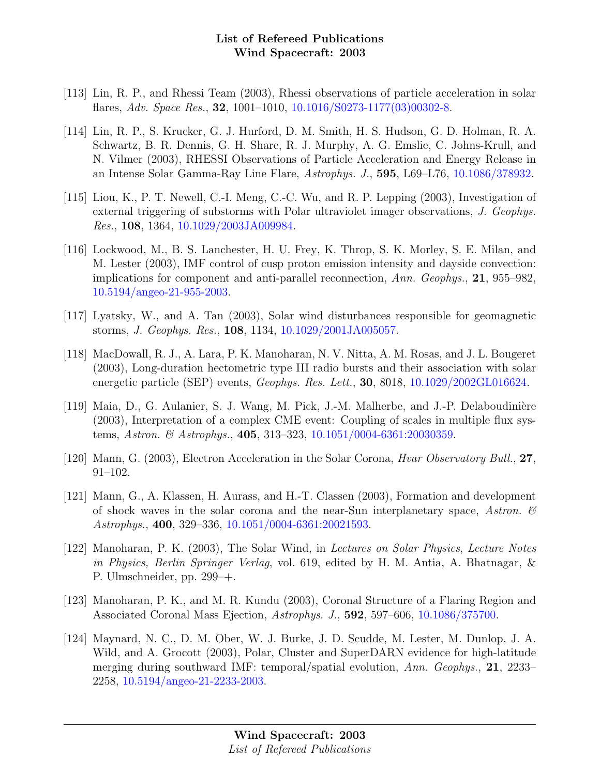- [113] Lin, R. P., and Rhessi Team (2003), Rhessi observations of particle acceleration in solar flares, Adv. Space Res., 32, 1001–1010, [10.1016/S0273-1177\(03\)00302-8.](http://dx.doi.org/10.1016/S0273-1177(03)00302-8)
- [114] Lin, R. P., S. Krucker, G. J. Hurford, D. M. Smith, H. S. Hudson, G. D. Holman, R. A. Schwartz, B. R. Dennis, G. H. Share, R. J. Murphy, A. G. Emslie, C. Johns-Krull, and N. Vilmer (2003), RHESSI Observations of Particle Acceleration and Energy Release in an Intense Solar Gamma-Ray Line Flare, Astrophys. J., 595, L69–L76, [10.1086/378932.](http://dx.doi.org/10.1086/378932)
- [115] Liou, K., P. T. Newell, C.-I. Meng, C.-C. Wu, and R. P. Lepping (2003), Investigation of external triggering of substorms with Polar ultraviolet imager observations, J. Geophys. Res., 108, 1364, [10.1029/2003JA009984.](http://dx.doi.org/10.1029/2003JA009984)
- [116] Lockwood, M., B. S. Lanchester, H. U. Frey, K. Throp, S. K. Morley, S. E. Milan, and M. Lester (2003), IMF control of cusp proton emission intensity and dayside convection: implications for component and anti-parallel reconnection, Ann. Geophys., 21, 955–982, [10.5194/angeo-21-955-2003.](http://dx.doi.org/10.5194/angeo-21-955-2003)
- [117] Lyatsky, W., and A. Tan (2003), Solar wind disturbances responsible for geomagnetic storms, J. Geophys. Res., 108, 1134, [10.1029/2001JA005057.](http://dx.doi.org/10.1029/2001JA005057)
- [118] MacDowall, R. J., A. Lara, P. K. Manoharan, N. V. Nitta, A. M. Rosas, and J. L. Bougeret (2003), Long-duration hectometric type III radio bursts and their association with solar energetic particle (SEP) events, *Geophys. Res. Lett.*, **30**, 8018, [10.1029/2002GL016624.](http://dx.doi.org/10.1029/2002GL016624)
- [119] Maia, D., G. Aulanier, S. J. Wang, M. Pick, J.-M. Malherbe, and J.-P. Delaboudinière (2003), Interpretation of a complex CME event: Coupling of scales in multiple flux systems, Astron. & Astrophys., 405, 313–323, [10.1051/0004-6361:20030359.](http://dx.doi.org/10.1051/0004-6361:20030359)
- [120] Mann, G. (2003), Electron Acceleration in the Solar Corona, *Hvar Observatory Bull.*, 27, 91–102.
- [121] Mann, G., A. Klassen, H. Aurass, and H.-T. Classen (2003), Formation and development of shock waves in the solar corona and the near-Sun interplanetary space, Astron.  $\mathscr B$ Astrophys., 400, 329–336, [10.1051/0004-6361:20021593.](http://dx.doi.org/10.1051/0004-6361:20021593)
- [122] Manoharan, P. K. (2003), The Solar Wind, in Lectures on Solar Physics, Lecture Notes in Physics, Berlin Springer Verlag, vol. 619, edited by H. M. Antia, A. Bhatnagar, & P. Ulmschneider, pp. 299–+.
- [123] Manoharan, P. K., and M. R. Kundu (2003), Coronal Structure of a Flaring Region and Associated Coronal Mass Ejection, Astrophys. J., 592, 597–606, [10.1086/375700.](http://dx.doi.org/10.1086/375700)
- [124] Maynard, N. C., D. M. Ober, W. J. Burke, J. D. Scudde, M. Lester, M. Dunlop, J. A. Wild, and A. Grocott (2003), Polar, Cluster and SuperDARN evidence for high-latitude merging during southward IMF: temporal/spatial evolution, Ann. Geophys., 21, 2233– 2258, [10.5194/angeo-21-2233-2003.](http://dx.doi.org/10.5194/angeo-21-2233-2003)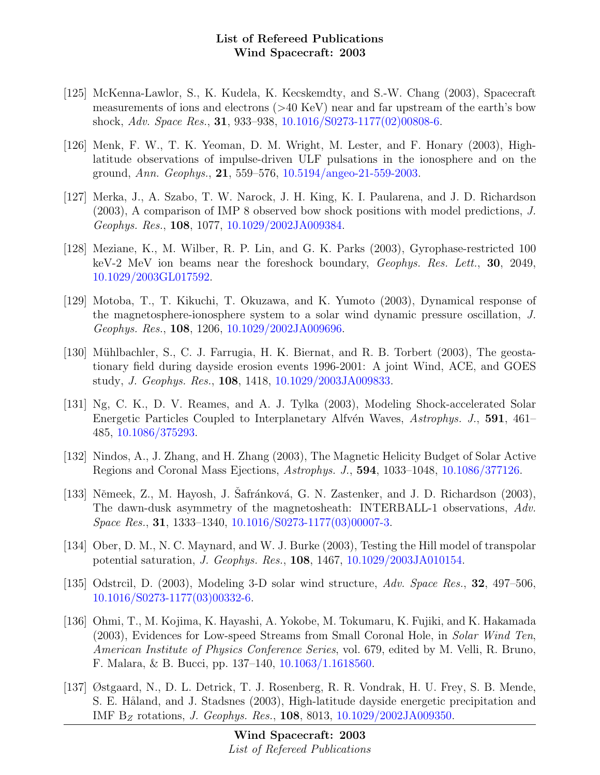- [125] McKenna-Lawlor, S., K. Kudela, K. Kecskemdty, and S.-W. Chang (2003), Spacecraft measurements of ions and electrons (>40 KeV) near and far upstream of the earth's bow shock, Adv. Space Res., 31, 933–938, [10.1016/S0273-1177\(02\)00808-6.](http://dx.doi.org/10.1016/S0273-1177(02)00808-6)
- [126] Menk, F. W., T. K. Yeoman, D. M. Wright, M. Lester, and F. Honary (2003), Highlatitude observations of impulse-driven ULF pulsations in the ionosphere and on the ground, Ann. Geophys., 21, 559–576, [10.5194/angeo-21-559-2003.](http://dx.doi.org/10.5194/angeo-21-559-2003)
- [127] Merka, J., A. Szabo, T. W. Narock, J. H. King, K. I. Paularena, and J. D. Richardson (2003), A comparison of IMP 8 observed bow shock positions with model predictions, J. Geophys. Res., 108, 1077, [10.1029/2002JA009384.](http://dx.doi.org/10.1029/2002JA009384)
- [128] Meziane, K., M. Wilber, R. P. Lin, and G. K. Parks (2003), Gyrophase-restricted 100 keV-2 MeV ion beams near the foreshock boundary, Geophys. Res. Lett., 30, 2049, [10.1029/2003GL017592.](http://dx.doi.org/10.1029/2003GL017592)
- [129] Motoba, T., T. Kikuchi, T. Okuzawa, and K. Yumoto (2003), Dynamical response of the magnetosphere-ionosphere system to a solar wind dynamic pressure oscillation, J. Geophys. Res., 108, 1206, [10.1029/2002JA009696.](http://dx.doi.org/10.1029/2002JA009696)
- [130] Mühlbachler, S., C. J. Farrugia, H. K. Biernat, and R. B. Torbert (2003), The geostationary field during dayside erosion events 1996-2001: A joint Wind, ACE, and GOES study, J. Geophys. Res., 108, 1418, [10.1029/2003JA009833.](http://dx.doi.org/10.1029/2003JA009833)
- [131] Ng, C. K., D. V. Reames, and A. J. Tylka (2003), Modeling Shock-accelerated Solar Energetic Particles Coupled to Interplanetary Alfvén Waves, Astrophys. J., 591, 461– 485, [10.1086/375293.](http://dx.doi.org/10.1086/375293)
- [132] Nindos, A., J. Zhang, and H. Zhang (2003), The Magnetic Helicity Budget of Solar Active Regions and Coronal Mass Ejections, Astrophys. J., 594, 1033–1048, [10.1086/377126.](http://dx.doi.org/10.1086/377126)
- [133] Němeek, Z., M. Hayosh, J. Safránková, G. N. Zastenker, and J. D. Richardson  $(2003)$ , The dawn-dusk asymmetry of the magnetosheath: INTERBALL-1 observations, Adv. Space Res., 31, 1333–1340, [10.1016/S0273-1177\(03\)00007-3.](http://dx.doi.org/10.1016/S0273-1177(03)00007-3)
- [134] Ober, D. M., N. C. Maynard, and W. J. Burke (2003), Testing the Hill model of transpolar potential saturation, J. Geophys. Res., 108, 1467, [10.1029/2003JA010154.](http://dx.doi.org/10.1029/2003JA010154)
- [135] Odstrcil, D. (2003), Modeling 3-D solar wind structure, Adv. Space Res., 32, 497–506. [10.1016/S0273-1177\(03\)00332-6.](http://dx.doi.org/10.1016/S0273-1177(03)00332-6)
- [136] Ohmi, T., M. Kojima, K. Hayashi, A. Yokobe, M. Tokumaru, K. Fujiki, and K. Hakamada (2003), Evidences for Low-speed Streams from Small Coronal Hole, in Solar Wind Ten, American Institute of Physics Conference Series, vol. 679, edited by M. Velli, R. Bruno, F. Malara, & B. Bucci, pp. 137–140, [10.1063/1.1618560.](http://dx.doi.org/10.1063/1.1618560)
- [137] Østgaard, N., D. L. Detrick, T. J. Rosenberg, R. R. Vondrak, H. U. Frey, S. B. Mende, S. E. Håland, and J. Stadsnes (2003), High-latitude dayside energetic precipitation and IMF B<sub>Z</sub> rotations, *J. Geophys. Res.*, **108**, 8013, [10.1029/2002JA009350.](http://dx.doi.org/10.1029/2002JA009350)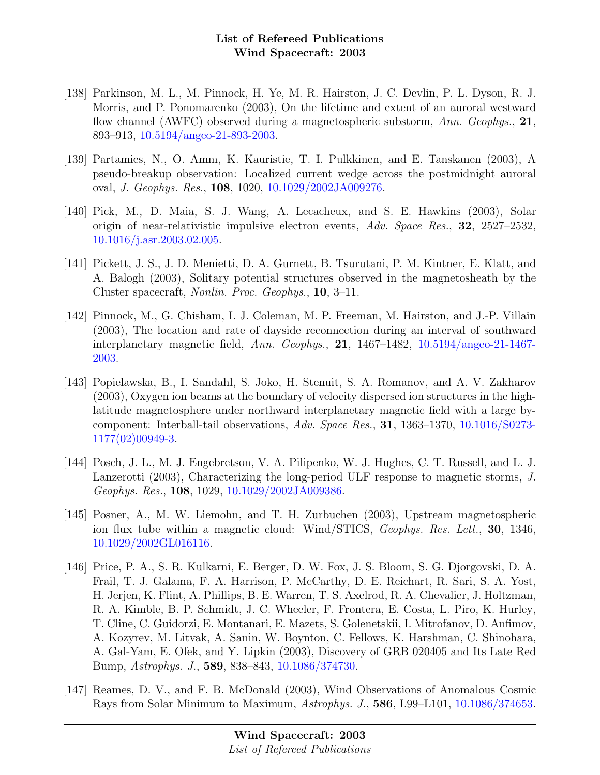- [138] Parkinson, M. L., M. Pinnock, H. Ye, M. R. Hairston, J. C. Devlin, P. L. Dyson, R. J. Morris, and P. Ponomarenko (2003), On the lifetime and extent of an auroral westward flow channel (AWFC) observed during a magnetospheric substorm, Ann. Geophys., 21, 893–913, [10.5194/angeo-21-893-2003.](http://dx.doi.org/10.5194/angeo-21-893-2003)
- [139] Partamies, N., O. Amm, K. Kauristie, T. I. Pulkkinen, and E. Tanskanen (2003), A pseudo-breakup observation: Localized current wedge across the postmidnight auroral oval, J. Geophys. Res., 108, 1020, [10.1029/2002JA009276.](http://dx.doi.org/10.1029/2002JA009276)
- [140] Pick, M., D. Maia, S. J. Wang, A. Lecacheux, and S. E. Hawkins (2003), Solar origin of near-relativistic impulsive electron events, Adv. Space Res., 32, 2527–2532, [10.1016/j.asr.2003.02.005.](http://dx.doi.org/10.1016/j.asr.2003.02.005)
- [141] Pickett, J. S., J. D. Menietti, D. A. Gurnett, B. Tsurutani, P. M. Kintner, E. Klatt, and A. Balogh (2003), Solitary potential structures observed in the magnetosheath by the Cluster spacecraft, Nonlin. Proc. Geophys., 10, 3–11.
- [142] Pinnock, M., G. Chisham, I. J. Coleman, M. P. Freeman, M. Hairston, and J.-P. Villain (2003), The location and rate of dayside reconnection during an interval of southward interplanetary magnetic field, Ann. Geophys., 21, 1467–1482, [10.5194/angeo-21-1467-](http://dx.doi.org/10.5194/angeo-21-1467-2003) [2003.](http://dx.doi.org/10.5194/angeo-21-1467-2003)
- [143] Popielawska, B., I. Sandahl, S. Joko, H. Stenuit, S. A. Romanov, and A. V. Zakharov (2003), Oxygen ion beams at the boundary of velocity dispersed ion structures in the highlatitude magnetosphere under northward interplanetary magnetic field with a large bycomponent: Interball-tail observations, Adv. Space Res., 31, 1363–1370, [10.1016/S0273-](http://dx.doi.org/10.1016/S0273-1177(02)00949-3) [1177\(02\)00949-3.](http://dx.doi.org/10.1016/S0273-1177(02)00949-3)
- [144] Posch, J. L., M. J. Engebretson, V. A. Pilipenko, W. J. Hughes, C. T. Russell, and L. J. Lanzerotti (2003), Characterizing the long-period ULF response to magnetic storms, J. Geophys. Res., 108, 1029, [10.1029/2002JA009386.](http://dx.doi.org/10.1029/2002JA009386)
- [145] Posner, A., M. W. Liemohn, and T. H. Zurbuchen (2003), Upstream magnetospheric ion flux tube within a magnetic cloud: Wind/STICS, Geophys. Res. Lett., **30**, 1346, [10.1029/2002GL016116.](http://dx.doi.org/10.1029/2002GL016116)
- [146] Price, P. A., S. R. Kulkarni, E. Berger, D. W. Fox, J. S. Bloom, S. G. Djorgovski, D. A. Frail, T. J. Galama, F. A. Harrison, P. McCarthy, D. E. Reichart, R. Sari, S. A. Yost, H. Jerjen, K. Flint, A. Phillips, B. E. Warren, T. S. Axelrod, R. A. Chevalier, J. Holtzman, R. A. Kimble, B. P. Schmidt, J. C. Wheeler, F. Frontera, E. Costa, L. Piro, K. Hurley, T. Cline, C. Guidorzi, E. Montanari, E. Mazets, S. Golenetskii, I. Mitrofanov, D. Anfimov, A. Kozyrev, M. Litvak, A. Sanin, W. Boynton, C. Fellows, K. Harshman, C. Shinohara, A. Gal-Yam, E. Ofek, and Y. Lipkin (2003), Discovery of GRB 020405 and Its Late Red Bump, Astrophys. J., 589, 838–843, [10.1086/374730.](http://dx.doi.org/10.1086/374730)
- [147] Reames, D. V., and F. B. McDonald (2003), Wind Observations of Anomalous Cosmic Rays from Solar Minimum to Maximum, Astrophys. J., 586, L99–L101, [10.1086/374653.](http://dx.doi.org/10.1086/374653)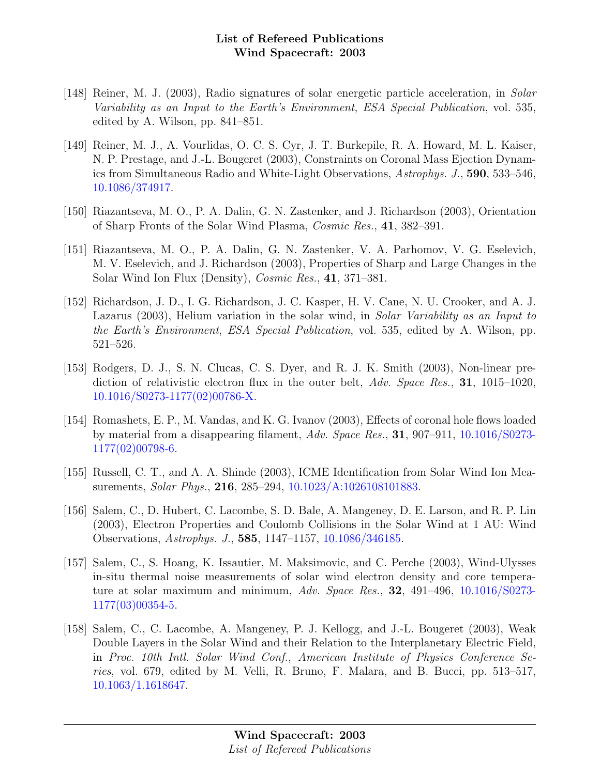- [148] Reiner, M. J. (2003), Radio signatures of solar energetic particle acceleration, in Solar Variability as an Input to the Earth's Environment, ESA Special Publication, vol. 535, edited by A. Wilson, pp. 841–851.
- [149] Reiner, M. J., A. Vourlidas, O. C. S. Cyr, J. T. Burkepile, R. A. Howard, M. L. Kaiser, N. P. Prestage, and J.-L. Bougeret (2003), Constraints on Coronal Mass Ejection Dynamics from Simultaneous Radio and White-Light Observations, Astrophys. J., 590, 533–546, [10.1086/374917.](http://dx.doi.org/10.1086/374917)
- [150] Riazantseva, M. O., P. A. Dalin, G. N. Zastenker, and J. Richardson (2003), Orientation of Sharp Fronts of the Solar Wind Plasma, Cosmic Res., 41, 382–391.
- [151] Riazantseva, M. O., P. A. Dalin, G. N. Zastenker, V. A. Parhomov, V. G. Eselevich, M. V. Eselevich, and J. Richardson (2003), Properties of Sharp and Large Changes in the Solar Wind Ion Flux (Density), Cosmic Res., 41, 371–381.
- [152] Richardson, J. D., I. G. Richardson, J. C. Kasper, H. V. Cane, N. U. Crooker, and A. J. Lazarus (2003), Helium variation in the solar wind, in Solar Variability as an Input to the Earth's Environment, ESA Special Publication, vol. 535, edited by A. Wilson, pp. 521–526.
- [153] Rodgers, D. J., S. N. Clucas, C. S. Dyer, and R. J. K. Smith (2003), Non-linear prediction of relativistic electron flux in the outer belt, Adv. Space Res., 31, 1015–1020, [10.1016/S0273-1177\(02\)00786-X.](http://dx.doi.org/10.1016/S0273-1177(02)00786-X)
- [154] Romashets, E. P., M. Vandas, and K. G. Ivanov (2003), Effects of coronal hole flows loaded by material from a disappearing filament, Adv. Space Res., 31, 907–911, [10.1016/S0273-](http://dx.doi.org/10.1016/S0273-1177(02)00798-6) [1177\(02\)00798-6.](http://dx.doi.org/10.1016/S0273-1177(02)00798-6)
- [155] Russell, C. T., and A. A. Shinde (2003), ICME Identification from Solar Wind Ion Measurements, Solar Phys., 216, 285–294, [10.1023/A:1026108101883.](http://dx.doi.org/10.1023/A:1026108101883)
- [156] Salem, C., D. Hubert, C. Lacombe, S. D. Bale, A. Mangeney, D. E. Larson, and R. P. Lin (2003), Electron Properties and Coulomb Collisions in the Solar Wind at 1 AU: Wind Observations, Astrophys. J., 585, 1147–1157, [10.1086/346185.](http://dx.doi.org/10.1086/346185)
- [157] Salem, C., S. Hoang, K. Issautier, M. Maksimovic, and C. Perche (2003), Wind-Ulysses in-situ thermal noise measurements of solar wind electron density and core temperature at solar maximum and minimum, Adv. Space Res., 32, 491–496, [10.1016/S0273-](http://dx.doi.org/10.1016/S0273-1177(03)00354-5) [1177\(03\)00354-5.](http://dx.doi.org/10.1016/S0273-1177(03)00354-5)
- [158] Salem, C., C. Lacombe, A. Mangeney, P. J. Kellogg, and J.-L. Bougeret (2003), Weak Double Layers in the Solar Wind and their Relation to the Interplanetary Electric Field, in Proc. 10th Intl. Solar Wind Conf., American Institute of Physics Conference Series, vol. 679, edited by M. Velli, R. Bruno, F. Malara, and B. Bucci, pp. 513–517, [10.1063/1.1618647.](http://dx.doi.org/10.1063/1.1618647)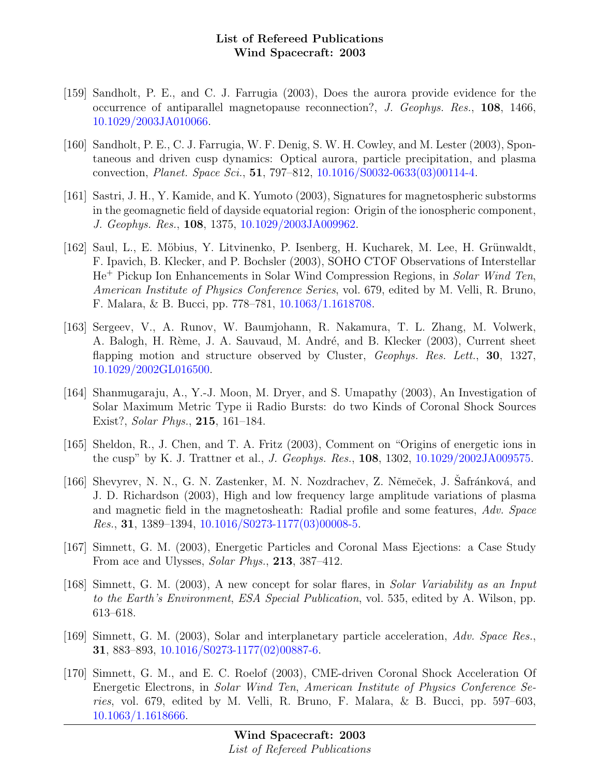- [159] Sandholt, P. E., and C. J. Farrugia (2003), Does the aurora provide evidence for the occurrence of antiparallel magnetopause reconnection?, J. Geophys. Res., 108, 1466, [10.1029/2003JA010066.](http://dx.doi.org/10.1029/2003JA010066)
- [160] Sandholt, P. E., C. J. Farrugia, W. F. Denig, S. W. H. Cowley, and M. Lester (2003), Spontaneous and driven cusp dynamics: Optical aurora, particle precipitation, and plasma convection, Planet. Space Sci., 51, 797–812, [10.1016/S0032-0633\(03\)00114-4.](http://dx.doi.org/10.1016/S0032-0633(03)00114-4)
- [161] Sastri, J. H., Y. Kamide, and K. Yumoto (2003), Signatures for magnetospheric substorms in the geomagnetic field of dayside equatorial region: Origin of the ionospheric component, J. Geophys. Res., 108, 1375, [10.1029/2003JA009962.](http://dx.doi.org/10.1029/2003JA009962)
- [162] Saul, L., E. Möbius, Y. Litvinenko, P. Isenberg, H. Kucharek, M. Lee, H. Grünwaldt, F. Ipavich, B. Klecker, and P. Bochsler (2003), SOHO CTOF Observations of Interstellar He<sup>+</sup> Pickup Ion Enhancements in Solar Wind Compression Regions, in Solar Wind Ten, American Institute of Physics Conference Series, vol. 679, edited by M. Velli, R. Bruno, F. Malara, & B. Bucci, pp. 778–781, [10.1063/1.1618708.](http://dx.doi.org/10.1063/1.1618708)
- [163] Sergeev, V., A. Runov, W. Baumjohann, R. Nakamura, T. L. Zhang, M. Volwerk, A. Balogh, H. Rème, J. A. Sauvaud, M. André, and B. Klecker (2003), Current sheet flapping motion and structure observed by Cluster, *Geophys. Res. Lett.*, 30, 1327, [10.1029/2002GL016500.](http://dx.doi.org/10.1029/2002GL016500)
- [164] Shanmugaraju, A., Y.-J. Moon, M. Dryer, and S. Umapathy (2003), An Investigation of Solar Maximum Metric Type ii Radio Bursts: do two Kinds of Coronal Shock Sources Exist?, Solar Phys., 215, 161–184.
- [165] Sheldon, R., J. Chen, and T. A. Fritz (2003), Comment on "Origins of energetic ions in the cusp" by K. J. Trattner et al., J. Geophys. Res., 108, 1302, [10.1029/2002JA009575.](http://dx.doi.org/10.1029/2002JA009575)
- [166] Shevyrev, N. N., G. N. Zastenker, M. N. Nozdrachev, Z. Němeček, J. Safránková, and J. D. Richardson (2003), High and low frequency large amplitude variations of plasma and magnetic field in the magnetosheath: Radial profile and some features, Adv. Space Res., 31, 1389–1394, [10.1016/S0273-1177\(03\)00008-5.](http://dx.doi.org/10.1016/S0273-1177(03)00008-5)
- [167] Simnett, G. M. (2003), Energetic Particles and Coronal Mass Ejections: a Case Study From ace and Ulysses, Solar Phys., 213, 387–412.
- [168] Simnett, G. M. (2003), A new concept for solar flares, in Solar Variability as an Input to the Earth's Environment, ESA Special Publication, vol. 535, edited by A. Wilson, pp. 613–618.
- [169] Simnett, G. M. (2003), Solar and interplanetary particle acceleration, Adv. Space Res., 31, 883–893, [10.1016/S0273-1177\(02\)00887-6.](http://dx.doi.org/10.1016/S0273-1177(02)00887-6)
- [170] Simnett, G. M., and E. C. Roelof (2003), CME-driven Coronal Shock Acceleration Of Energetic Electrons, in Solar Wind Ten, American Institute of Physics Conference Series, vol. 679, edited by M. Velli, R. Bruno, F. Malara, & B. Bucci, pp. 597–603, [10.1063/1.1618666.](http://dx.doi.org/10.1063/1.1618666)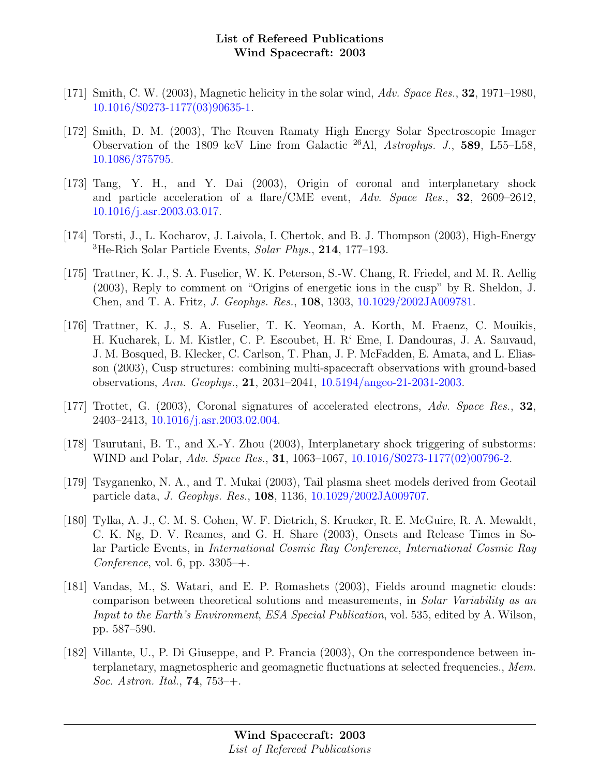- [171] Smith, C. W. (2003), Magnetic helicity in the solar wind,  $Adv. Space Res., 32, 1971-1980$ , [10.1016/S0273-1177\(03\)90635-1.](http://dx.doi.org/10.1016/S0273-1177(03)90635-1)
- [172] Smith, D. M. (2003), The Reuven Ramaty High Energy Solar Spectroscopic Imager Observation of the 1809 keV Line from Galactic <sup>26</sup>Al, Astrophys. J., 589, L55–L58, [10.1086/375795.](http://dx.doi.org/10.1086/375795)
- [173] Tang, Y. H., and Y. Dai (2003), Origin of coronal and interplanetary shock and particle acceleration of a flare/CME event,  $Adv. Space Res., 32, 2609-2612,$ [10.1016/j.asr.2003.03.017.](http://dx.doi.org/10.1016/j.asr.2003.03.017)
- [174] Torsti, J., L. Kocharov, J. Laivola, I. Chertok, and B. J. Thompson (2003), High-Energy  ${}^{3}$ He-Rich Solar Particle Events, Solar Phys., 214, 177–193.
- [175] Trattner, K. J., S. A. Fuselier, W. K. Peterson, S.-W. Chang, R. Friedel, and M. R. Aellig (2003), Reply to comment on "Origins of energetic ions in the cusp" by R. Sheldon, J. Chen, and T. A. Fritz, J. Geophys. Res., 108, 1303, [10.1029/2002JA009781.](http://dx.doi.org/10.1029/2002JA009781)
- [176] Trattner, K. J., S. A. Fuselier, T. K. Yeoman, A. Korth, M. Fraenz, C. Mouikis, H. Kucharek, L. M. Kistler, C. P. Escoubet, H. R' Eme, I. Dandouras, J. A. Sauvaud, J. M. Bosqued, B. Klecker, C. Carlson, T. Phan, J. P. McFadden, E. Amata, and L. Eliasson (2003), Cusp structures: combining multi-spacecraft observations with ground-based observations, Ann. Geophys., 21, 2031–2041, [10.5194/angeo-21-2031-2003.](http://dx.doi.org/10.5194/angeo-21-2031-2003)
- [177] Trottet, G. (2003), Coronal signatures of accelerated electrons, Adv. Space Res., 32, 2403–2413, [10.1016/j.asr.2003.02.004.](http://dx.doi.org/10.1016/j.asr.2003.02.004)
- [178] Tsurutani, B. T., and X.-Y. Zhou (2003), Interplanetary shock triggering of substorms: WIND and Polar, Adv. Space Res., 31, 1063-1067, [10.1016/S0273-1177\(02\)00796-2.](http://dx.doi.org/10.1016/S0273-1177(02)00796-2)
- [179] Tsyganenko, N. A., and T. Mukai (2003), Tail plasma sheet models derived from Geotail particle data, J. Geophys. Res., 108, 1136, [10.1029/2002JA009707.](http://dx.doi.org/10.1029/2002JA009707)
- [180] Tylka, A. J., C. M. S. Cohen, W. F. Dietrich, S. Krucker, R. E. McGuire, R. A. Mewaldt, C. K. Ng, D. V. Reames, and G. H. Share (2003), Onsets and Release Times in Solar Particle Events, in International Cosmic Ray Conference, International Cosmic Ray Conference, vol. 6, pp.  $3305 +$ .
- [181] Vandas, M., S. Watari, and E. P. Romashets (2003), Fields around magnetic clouds: comparison between theoretical solutions and measurements, in Solar Variability as an Input to the Earth's Environment, ESA Special Publication, vol. 535, edited by A. Wilson, pp. 587–590.
- [182] Villante, U., P. Di Giuseppe, and P. Francia (2003), On the correspondence between interplanetary, magnetospheric and geomagnetic fluctuations at selected frequencies., Mem. Soc. Astron. Ital., **74**,  $753-+$ .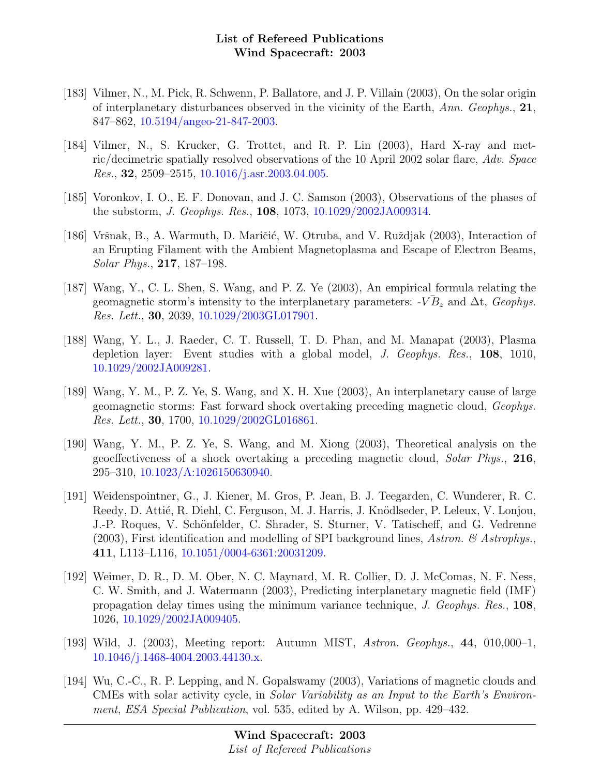- [183] Vilmer, N., M. Pick, R. Schwenn, P. Ballatore, and J. P. Villain (2003), On the solar origin of interplanetary disturbances observed in the vicinity of the Earth, Ann. Geophys.,  $21$ , 847–862, [10.5194/angeo-21-847-2003.](http://dx.doi.org/10.5194/angeo-21-847-2003)
- [184] Vilmer, N., S. Krucker, G. Trottet, and R. P. Lin (2003), Hard X-ray and metric/decimetric spatially resolved observations of the 10 April 2002 solar flare, Adv. Space Res., 32, 2509–2515, [10.1016/j.asr.2003.04.005.](http://dx.doi.org/10.1016/j.asr.2003.04.005)
- [185] Voronkov, I. O., E. F. Donovan, and J. C. Samson (2003), Observations of the phases of the substorm, J. Geophys. Res., 108, 1073, [10.1029/2002JA009314.](http://dx.doi.org/10.1029/2002JA009314)
- [186] Vršnak, B., A. Warmuth, D. Maričić, W. Otruba, and V. Ruždjak (2003), Interaction of an Erupting Filament with the Ambient Magnetoplasma and Escape of Electron Beams, Solar Phys., 217, 187–198.
- [187] Wang, Y., C. L. Shen, S. Wang, and P. Z. Ye (2003), An empirical formula relating the geomagnetic storm's intensity to the interplanetary parameters:  $-V\overline{B}_z$  and  $\Delta t$ , Geophys. Res. Lett., 30, 2039, [10.1029/2003GL017901.](http://dx.doi.org/10.1029/2003GL017901)
- [188] Wang, Y. L., J. Raeder, C. T. Russell, T. D. Phan, and M. Manapat (2003), Plasma depletion layer: Event studies with a global model, J. Geophys. Res., 108, 1010, [10.1029/2002JA009281.](http://dx.doi.org/10.1029/2002JA009281)
- [189] Wang, Y. M., P. Z. Ye, S. Wang, and X. H. Xue (2003), An interplanetary cause of large geomagnetic storms: Fast forward shock overtaking preceding magnetic cloud, Geophys. Res. Lett., 30, 1700, [10.1029/2002GL016861.](http://dx.doi.org/10.1029/2002GL016861)
- [190] Wang, Y. M., P. Z. Ye, S. Wang, and M. Xiong (2003), Theoretical analysis on the geoeffectiveness of a shock overtaking a preceding magnetic cloud, Solar Phys., 216, 295–310, [10.1023/A:1026150630940.](http://dx.doi.org/10.1023/A:1026150630940)
- [191] Weidenspointner, G., J. Kiener, M. Gros, P. Jean, B. J. Teegarden, C. Wunderer, R. C. Reedy, D. Attié, R. Diehl, C. Ferguson, M. J. Harris, J. Knödlseder, P. Leleux, V. Lonjou, J.-P. Roques, V. Schönfelder, C. Shrader, S. Sturner, V. Tatischeff, and G. Vedrenne (2003), First identification and modelling of SPI background lines, Astron.  $\mathcal{C}$  Astrophys. 411, L113–L116, [10.1051/0004-6361:20031209.](http://dx.doi.org/10.1051/0004-6361:20031209)
- [192] Weimer, D. R., D. M. Ober, N. C. Maynard, M. R. Collier, D. J. McComas, N. F. Ness, C. W. Smith, and J. Watermann (2003), Predicting interplanetary magnetic field (IMF) propagation delay times using the minimum variance technique, J. Geophys. Res., 108, 1026, [10.1029/2002JA009405.](http://dx.doi.org/10.1029/2002JA009405)
- [193] Wild, J. (2003), Meeting report: Autumn MIST, Astron. Geophys., 44, 010,000–1, [10.1046/j.1468-4004.2003.44130.x.](http://dx.doi.org/10.1046/j.1468-4004.2003.44130.x)
- [194] Wu, C.-C., R. P. Lepping, and N. Gopalswamy (2003), Variations of magnetic clouds and CMEs with solar activity cycle, in Solar Variability as an Input to the Earth's Environment, ESA Special Publication, vol. 535, edited by A. Wilson, pp. 429–432.